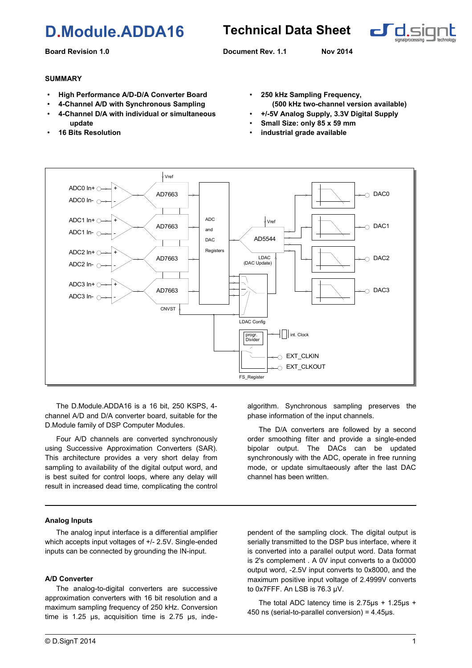# **D.Module.ADDA16 Technical Data Sheet**

**Board Revision 1.0 Document Rev. 1.1 Nov 2014**



### **SUMMARY**

- **High Performance A/D-D/A Converter Board**
- **4-Channel A/D with Synchronous Sampling**
- **4-Channel D/A with individual or simultaneous update**
- **16 Bits Resolution**
- **250 kHz Sampling Frequency, (500 kHz two-channel version available)**
- **+/-5V Analog Supply, 3.3V Digital Supply**
- **Small Size: only 85 x 59 mm**
- **industrial grade available**



The D.Module.ADDA16 is a 16 bit, 250 KSPS, 4 channel A/D and D/A converter board, suitable for the D.Module family of DSP Computer Modules.

Four A/D channels are converted synchronously using Successive Approximation Converters (SAR). This architecture provides a very short delay from sampling to availability of the digital output word, and is best suited for control loops, where any delay will result in increased dead time, complicating the control

### **Analog Inputs**

The analog input interface is a differential amplifier which accepts input voltages of +/- 2.5V. Single-ended inputs can be connected by grounding the IN-input.

### **A/D Converter**

The analog-to-digital converters are successive approximation converters with 16 bit resolution and a maximum sampling frequency of 250 kHz. Conversion time is 1.25 µs, acquisition time is 2.75 µs, indealgorithm. Synchronous sampling preserves the phase information of the input channels.

The D/A converters are followed by a second order smoothing filter and provide a single-ended bipolar output. The DACs can be updated synchronously with the ADC, operate in free running mode, or update simultaeously after the last DAC channel has been written.

pendent of the sampling clock. The digital output is serially transmitted to the DSP bus interface, where it is converted into a parallel output word. Data format is 2's complement . A 0V input converts to a 0x0000 output word, -2.5V input converts to 0x8000, and the maximum positive input voltage of 2.4999V converts to 0x7FFF. An LSB is 76.3 µV.

The total ADC latency time is 2.75µs + 1.25µs + 450 ns (serial-to-parallel conversion) = 4.45µs.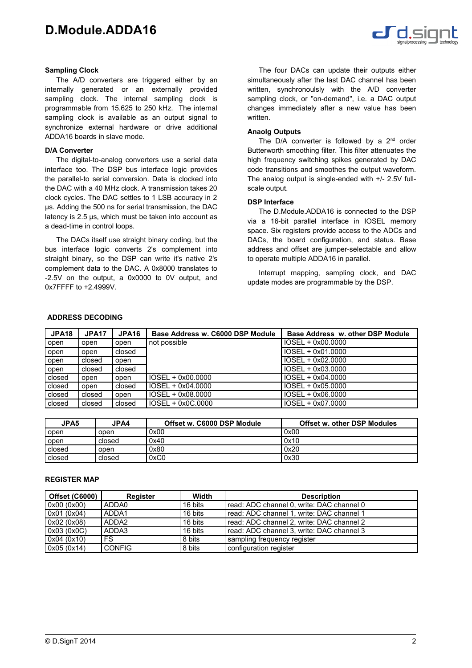

#### **Sampling Clock**

The A/D converters are triggered either by an internally generated or an externally provided sampling clock. The internal sampling clock is programmable from 15.625 to 250 kHz. The internal sampling clock is available as an output signal to synchronize external hardware or drive additional ADDA16 boards in slave mode.

#### **D/A Converter**

The digital-to-analog converters use a serial data interface too. The DSP bus interface logic provides the parallel-to serial conversion. Data is clocked into the DAC with a 40 MHz clock. A transmission takes 20 clock cycles. The DAC settles to 1 LSB accuracy in 2 µs. Adding the 500 ns for serial transmission, the DAC latency is 2.5 µs, which must be taken into account as a dead-time in control loops.

The DACs itself use straight binary coding, but the bus interface logic converts 2's complement into straight binary, so the DSP can write it's native 2's complement data to the DAC. A 0x8000 translates to -2.5V on the output, a 0x0000 to 0V output, and 0x7FFFF to +2.4999V.

The four DACs can update their outputs either simultaneously after the last DAC channel has been written, synchronoulsly with the A/D converter sampling clock, or "on-demand", i.e. a DAC output changes immediately after a new value has been written.

### **Anaolg Outputs**

The D/A converter is followed by a  $2<sup>nd</sup>$  order Butterworth smoothing filter. This filter attenuates the high frequency switching spikes generated by DAC code transitions and smoothes the output waveform. The analog output is single-ended with +/- 2.5V fullscale output.

#### **DSP Interface**

The D.Module.ADDA16 is connected to the DSP via a 16-bit parallel interface in IOSEL memory space. Six registers provide access to the ADCs and DACs, the board configuration, and status. Base address and offset are jumper-selectable and allow to operate multiple ADDA16 in parallel.

Interrupt mapping, sampling clock, and DAC update modes are programmable by the DSP.

| JPA <sub>18</sub> | <b>JPA17</b> | JPA16  | Base Address w. C6000 DSP Module | Base Address w. other DSP Module |
|-------------------|--------------|--------|----------------------------------|----------------------------------|
| open              | open         | open   | not possible                     | IOSEL + 0x00.0000                |
| open              | open         | closed |                                  | $IOSEL + 0x01.0000$              |
| open              | closed       | open   |                                  | $IOSEL + 0x02.0000$              |
| open              | closed       | closed |                                  | $IOSEL + 0x03.0000$              |
| closed            | open         | open   | IOSEL + 0x00.0000                | $IOSEL + 0x04.0000$              |
| closed            | open         | closed | $IOSEL + 0x04.0000$              | $IOSEL + 0x05.0000$              |
| closed            | closed       | open   | $IOSEL + 0x08.0000$              | $IOSEL + 0x06.0000$              |
| closed            | closed       | closed | $IOSEL + 0x0C.0000$              | $IOSEL + 0x07.0000$              |

#### **ADDRESS DECODING**

| JPA5   | JPA4   | Offset w. C6000 DSP Module | <b>Offset w. other DSP Modules</b> |
|--------|--------|----------------------------|------------------------------------|
| open   | open   | 0x00                       | 0x00                               |
| open   | closed | 0x40                       | 0x10                               |
| closed | open   | 0x80                       | 0x20                               |
| closed | closed | 0xC0                       | 0x30                               |

#### **REGISTER MAP**

| <b>Offset (C6000)</b> | Register      | Width   | <b>Description</b>                        |
|-----------------------|---------------|---------|-------------------------------------------|
| 0x00 (0x00)           | ADDA0         | 16 bits | read: ADC channel 0, write: DAC channel 0 |
| 0x01 (0x04)           | ADDA1         | 16 bits | read: ADC channel 1, write: DAC channel 1 |
| 0x02 (0x08)           | ADDA2         | 16 bits | read: ADC channel 2, write: DAC channel 2 |
| 0x03 (0x0C)           | ADDA3         | 16 bits | read: ADC channel 3, write: DAC channel 3 |
| 0x04(0x10)            | FS.           | 8 bits  | sampling frequency register               |
| 0x05 (0x14)           | <b>CONFIG</b> | 8 bits  | configuration register                    |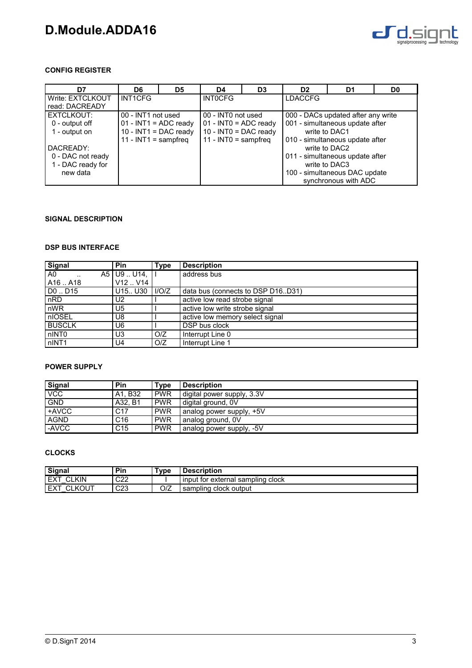

### **CONFIG REGISTER**

| D7                | D6                      | D5 | D4                      | D <sub>3</sub> | D <sub>2</sub>                  | D1                                 | D <sub>0</sub> |
|-------------------|-------------------------|----|-------------------------|----------------|---------------------------------|------------------------------------|----------------|
| Write: EXTCLKOUT  | <b>INT1CFG</b>          |    | <b>INTOCFG</b>          |                | <b>LDACCFG</b>                  |                                    |                |
| read: DACREADY    |                         |    |                         |                |                                 |                                    |                |
| EXTCLKOUT:        | 00 - INT1 not used      |    | 00 - INT0 not used      |                |                                 | 000 - DACs updated after any write |                |
| 0 - output off    | $01 - INT1 = ADC$ ready |    | $01 - INTO = ADC ready$ |                | 001 - simultaneous update after |                                    |                |
| 1 - output on     | $10 - INT1 = DAC$ ready |    | 10 - INTO = DAC ready   |                | write to DAC1                   |                                    |                |
|                   | 11 - INT1 = sampfreq    |    | 11 - INTO = sampfreq    |                |                                 | 010 - simultaneous update after    |                |
| DACREADY:         |                         |    |                         |                |                                 | write to DAC2                      |                |
| 0 - DAC not ready |                         |    |                         |                |                                 | 011 - simultaneous update after    |                |
| 1 - DAC ready for |                         |    |                         |                |                                 | write to DAC3                      |                |
| new data          |                         |    |                         |                |                                 | 100 - simultaneous DAC update      |                |
|                   |                         |    |                         |                |                                 | synchronous with ADC               |                |

### **SIGNAL DESCRIPTION**

### **DSP BUS INTERFACE**

| Signal          | Pin                                | <b>Type</b> | <b>Description</b>                |
|-----------------|------------------------------------|-------------|-----------------------------------|
| A0<br>$\cdot$ . | A5 U9  U14.                        |             | address bus                       |
| A16  A18        | V12. V14                           |             |                                   |
| D0  D15         | U <sub>15</sub> ., U <sub>30</sub> | I/O/Z       | data bus (connects to DSP D16D31) |
| nRD             | U <sub>2</sub>                     |             | active low read strobe signal     |
| nWR             | U5                                 |             | active low write strobe signal    |
| I nIOSEL        | U8                                 |             | active low memory select signal   |
| l BUSCLK        | U6                                 |             | DSP bus clock                     |
| l nINTO         | U3                                 | O/Z         | Interrupt Line 0                  |
| l nINT1         | U4                                 | O/Z         | Interrupt Line 1                  |

### **POWER SUPPLY**

| Signal           | Pin             | $\tau_\mathsf{VDE}$ | <b>Description</b>         |
|------------------|-----------------|---------------------|----------------------------|
| $\overline{VCC}$ | A1. B32         | <b>PWR</b>          | digital power supply, 3.3V |
| GND              | A32. B1         | <b>PWR</b>          | digital ground, OV         |
| +AVCC            | C <sub>17</sub> | <b>PWR</b>          | analog power supply, +5V   |
| <b>AGND</b>      | C16             | <b>PWR</b>          | analog ground, 0V          |
| <b>LAVCC</b>     | C <sub>15</sub> | <b>PWR</b>          | analog power supply, -5V   |

### **CLOCKS**

| Signal               | Pin           | Type | <b>Description</b>                                     |
|----------------------|---------------|------|--------------------------------------------------------|
| KIN<br>. EYT<br>ำ∟∧. | $\sim$<br>◡∠∠ |      | ≟clock<br>∵external<br>sampling<br><b>Input</b><br>tor |
| _KOUT<br>$\sim$<br>└ | $\sim$<br>د∠ب | O/Z  | clock output<br>sampling                               |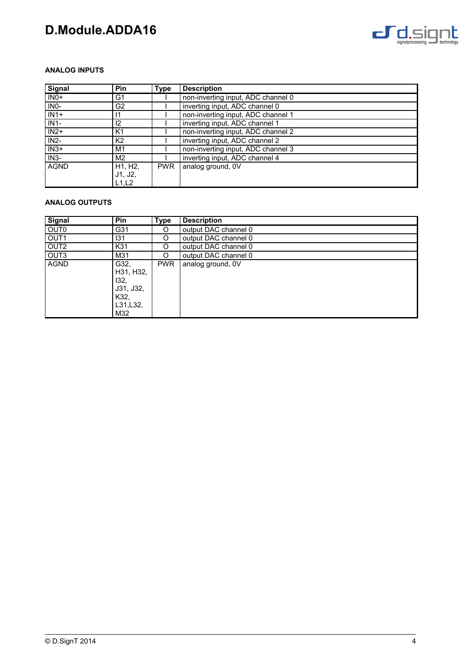

### **ANALOG INPUTS**

| Signal        | Pin                               | Type       | <b>Description</b>                 |
|---------------|-----------------------------------|------------|------------------------------------|
| $\sqrt{INO+}$ | G <sub>1</sub>                    |            | non-inverting input, ADC channel 0 |
| $INO-$        | G <sub>2</sub>                    |            | inverting input, ADC channel 0     |
| $\sqrt{IN1+}$ | 11                                |            | non-inverting input, ADC channel 1 |
| $IN1-$        | 12                                |            | inverting input, ADC channel 1     |
| $\sqrt{IN2+}$ | K <sub>1</sub>                    |            | non-inverting input, ADC channel 2 |
| $IN2-$        | K <sub>2</sub>                    |            | inverting input, ADC channel 2     |
| $N3+$         | M1                                |            | non-inverting input, ADC channel 3 |
| IN3-          | M <sub>2</sub>                    |            | inverting input, ADC channel 4     |
| l AGND        | H <sub>1</sub> , H <sub>2</sub> , | <b>PWR</b> | analog ground, 0V                  |
|               | J1, J2,                           |            |                                    |
|               | L1,L2                             |            |                                    |

### **ANALOG OUTPUTS**

| Signal           | Pin       | <b>Type</b> | <b>Description</b>   |
|------------------|-----------|-------------|----------------------|
| OUT <sub>0</sub> | G31       | O           | output DAC channel 0 |
| OUT <sub>1</sub> | 131       | O           | output DAC channel 0 |
| OUT <sub>2</sub> | K31       | O           | output DAC channel 0 |
| OUT <sub>3</sub> | M31       | O           | output DAC channel 0 |
| <b>AGND</b>      | G32.      | <b>PWR</b>  | analog ground, 0V    |
|                  | H31, H32, |             |                      |
|                  | 132.      |             |                      |
|                  | J31, J32, |             |                      |
|                  | K32.      |             |                      |
|                  | L31, L32, |             |                      |
|                  | M32       |             |                      |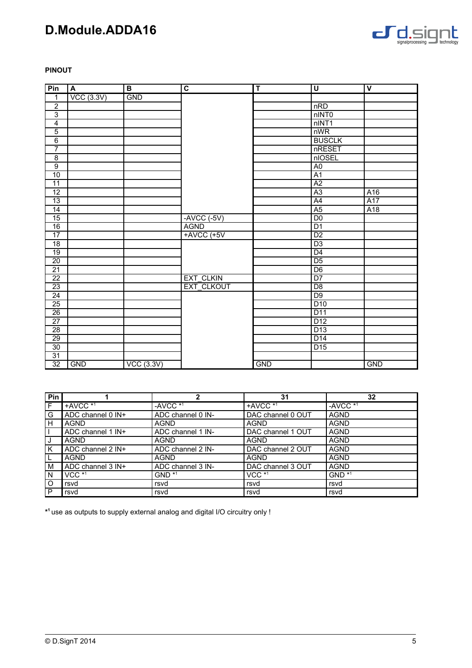

**PINOUT**

| Pin                     | $\boldsymbol{A}$ | $\overline{B}$ | $\overline{c}$ | $\overline{\mathsf{T}}$ | $\overline{\mathsf{U}}$ | $\overline{\mathsf{v}}$ |
|-------------------------|------------------|----------------|----------------|-------------------------|-------------------------|-------------------------|
| $\mathbf{1}$            | VCC(3.3V)        | <b>GND</b>     |                |                         |                         |                         |
| $\overline{2}$          |                  |                |                |                         | nRD                     |                         |
| $\overline{3}$          |                  |                |                |                         | nINT <sub>0</sub>       |                         |
| $\overline{\mathbf{4}}$ |                  |                |                |                         | nINT1                   |                         |
| $\overline{5}$          |                  |                |                |                         | nWR                     |                         |
| $\overline{6}$          |                  |                |                |                         | <b>BUSCLK</b>           |                         |
| $\overline{7}$          |                  |                |                |                         | nRESET                  |                         |
| $\overline{8}$          |                  |                |                |                         | nIOSEL                  |                         |
| $\overline{9}$          |                  |                |                |                         | A <sub>0</sub>          |                         |
| 10                      |                  |                |                |                         | $\overline{A1}$         |                         |
| 11                      |                  |                |                |                         | A2                      |                         |
| $\overline{12}$         |                  |                |                |                         | A3                      | A16                     |
| $\overline{13}$         |                  |                |                |                         | A4                      | A17                     |
| 14                      |                  |                |                |                         | A5                      | A18                     |
| 15                      |                  |                | -AVCC $(-5V)$  |                         | D <sub>0</sub>          |                         |
| 16                      |                  |                | <b>AGND</b>    |                         | D1                      |                         |
| $\overline{17}$         |                  |                | +AVCC (+5V     |                         | $\overline{D2}$         |                         |
| 18                      |                  |                |                |                         | D <sub>3</sub>          |                         |
| $\overline{19}$         |                  |                |                |                         | D4                      |                         |
| $\overline{20}$         |                  |                |                |                         | $\overline{D5}$         |                         |
| $\overline{21}$         |                  |                |                |                         | $\overline{D6}$         |                         |
| $\overline{22}$         |                  |                | EXT_CLKIN      |                         | $\overline{D7}$         |                         |
| $\overline{23}$         |                  |                | EXT_CLKOUT     |                         | D <sub>8</sub>          |                         |
| $\overline{24}$         |                  |                |                |                         | D9                      |                         |
| $\overline{25}$         |                  |                |                |                         | D10                     |                         |
| $\overline{26}$         |                  |                |                |                         | D11                     |                         |
| $\overline{27}$         |                  |                |                |                         | D12                     |                         |
| $\overline{28}$         |                  |                |                |                         | D13                     |                         |
| $\overline{29}$         |                  |                |                |                         | D14                     |                         |
| 30                      |                  |                |                |                         | D15                     |                         |
| $\overline{31}$         |                  |                |                |                         |                         |                         |
| $\overline{32}$         | <b>GND</b>       | $VCC$ $(3.3V)$ |                | <b>GND</b>              |                         | <b>GND</b>              |

| Pin |                     |                   | 31                  | 32                  |
|-----|---------------------|-------------------|---------------------|---------------------|
| F   | +AVCC <sup>*1</sup> | - $AVCC$ $*1$     | +AVCC <sup>*1</sup> | -AVCC <sup>*1</sup> |
| G   | ADC channel 0 IN+   | ADC channel 0 IN- | DAC channel 0 OUT   | <b>AGND</b>         |
| H   | <b>AGND</b>         | <b>AGND</b>       | <b>AGND</b>         | <b>AGND</b>         |
|     | ADC channel 1 IN+   | ADC channel 1 IN- | DAC channel 1 OUT   | <b>AGND</b>         |
| J   | <b>AGND</b>         | <b>AGND</b>       | <b>AGND</b>         | <b>AGND</b>         |
| K   | ADC channel 2 IN+   | ADC channel 2 IN- | DAC channel 2 OUT   | <b>AGND</b>         |
| L   | <b>AGND</b>         | <b>AGND</b>       | <b>AGND</b>         | <b>AGND</b>         |
| M   | ADC channel 3 IN+   | ADC channel 3 IN- | DAC channel 3 OUT   | <b>AGND</b>         |
| N   | VCC <sup>*1</sup>   | $GND *1$          | $VCC$ $*1$          | $GND *1$            |
| l O | rsvd                | rsvd              | rsvd                | rsvd                |
| . P | rsvd                | rsvd              | rsvd                | rsvd                |

**\* <sup>1</sup>**use as outputs to supply external analog and digital I/O circuitry only !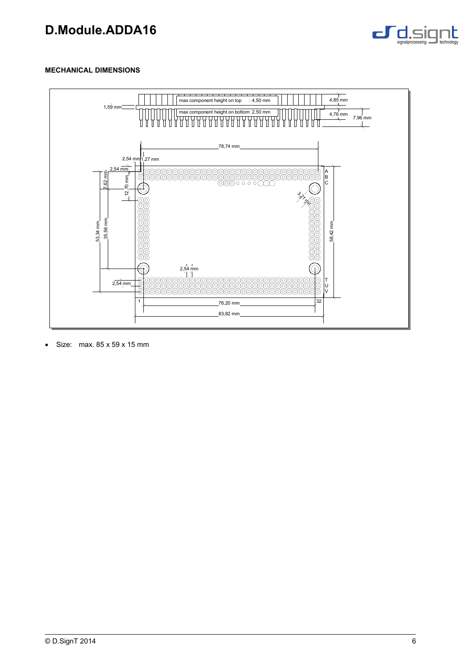

### **MECHANICAL DIMENSIONS**



 $\bullet$  Size: max. 85 x 59 x 15 mm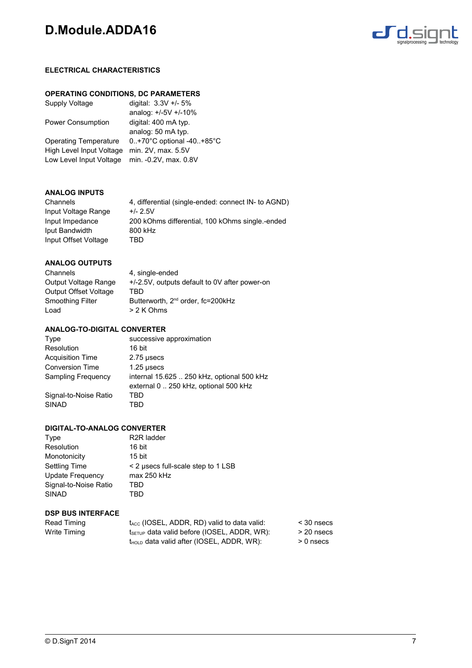

### **ELECTRICAL CHARACTERISTICS**

### **OPERATING CONDITIONS, DC PARAMETERS**

| Supply Voltage           | digital: 3.3V +/- 5%     |
|--------------------------|--------------------------|
|                          | analog: +/-5V +/-10%     |
| Power Consumption        | digital: 400 mA typ.     |
|                          | analog: 50 mA typ.       |
| Operating Temperature    | 0+70°C optional -40+85°C |
| High Level Input Voltage | min. 2V, max. 5.5V       |
| Low Level Input Voltage  | min. - 0.2V, max. 0.8V   |
|                          |                          |

### **ANALOG INPUTS**

| Channels             | 4, differential (single-ended: connect IN- to AGND) |
|----------------------|-----------------------------------------------------|
| Input Voltage Range  | $+/- 2.5V$                                          |
| Input Impedance      | 200 kOhms differential, 100 kOhms single.-ended     |
| Iput Bandwidth       | 800 kHz                                             |
| Input Offset Voltage | TRD                                                 |

### **ANALOG OUTPUTS**

| Channels                     | 4, single-ended                               |
|------------------------------|-----------------------------------------------|
| Output Voltage Range         | +/-2.5V, outputs default to 0V after power-on |
| <b>Output Offset Voltage</b> | TRD                                           |
| Smoothing Filter             | Butterworth, 2 <sup>nd</sup> order, fc=200kHz |
| Load                         | > 2 K Ohms                                    |

### **ANALOG-TO-DIGITAL CONVERTER**

| Type                    | successive approximation                                                            |
|-------------------------|-------------------------------------------------------------------------------------|
| Resolution              | 16 bit                                                                              |
| <b>Acquisition Time</b> | 2.75 usecs                                                                          |
| <b>Conversion Time</b>  | $1.25$ usecs                                                                        |
| Sampling Frequency      | internal 15.625  250 kHz, optional 500 kHz<br>external 0  250 kHz, optional 500 kHz |
| Signal-to-Noise Ratio   | TBD                                                                                 |
| <b>SINAD</b>            | TBD                                                                                 |

### **DIGITAL-TO-ANALOG CONVERTER**

| Type                  | R <sub>2</sub> R ladder            |
|-----------------------|------------------------------------|
| Resolution            | 16 bit                             |
| Monotonicity          | 15 bit                             |
| <b>Settling Time</b>  | < 2 usecs full-scale step to 1 LSB |
| Update Frequency      | max 250 kHz                        |
| Signal-to-Noise Ratio | TRD                                |
| <b>SINAD</b>          | TRD                                |
|                       |                                    |

### **DSP BUS INTERFACE**

| Read Timing  | $t_{\text{ACC}}$ (IOSEL, ADDR, RD) valid to data valid:   | < 30 nsecs  |
|--------------|-----------------------------------------------------------|-------------|
| Write Timing | $t$ <sub>setup</sub> data valid before (IOSEL, ADDR, WR): | > 20 nsecs  |
|              | $t_{\text{HOLD}}$ data valid after (IOSEL, ADDR, WR):     | $> 0$ nsecs |